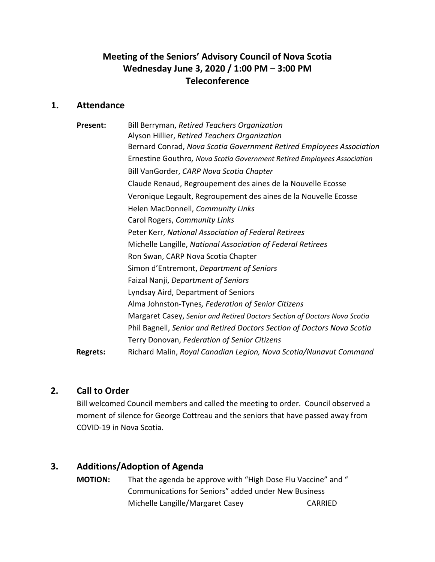# **Meeting of the Seniors' Advisory Council of Nova Scotia Wednesday June 3, 2020 / 1:00 PM – 3:00 PM Teleconference**

### **1. Attendance**

| <b>Present:</b> | Bill Berryman, Retired Teachers Organization                              |
|-----------------|---------------------------------------------------------------------------|
|                 | Alyson Hillier, Retired Teachers Organization                             |
|                 | Bernard Conrad, Nova Scotia Government Retired Employees Association      |
|                 | Ernestine Gouthro, Nova Scotia Government Retired Employees Association   |
|                 | Bill VanGorder, CARP Nova Scotia Chapter                                  |
|                 | Claude Renaud, Regroupement des aines de la Nouvelle Ecosse               |
|                 | Veronique Legault, Regroupement des aines de la Nouvelle Ecosse           |
|                 | Helen MacDonnell, Community Links                                         |
|                 | Carol Rogers, Community Links                                             |
|                 | Peter Kerr, National Association of Federal Retirees                      |
|                 | Michelle Langille, National Association of Federal Retirees               |
|                 | Ron Swan, CARP Nova Scotia Chapter                                        |
|                 | Simon d'Entremont, Department of Seniors                                  |
|                 | Faizal Nanji, Department of Seniors                                       |
|                 | Lyndsay Aird, Department of Seniors                                       |
|                 | Alma Johnston-Tynes, Federation of Senior Citizens                        |
|                 | Margaret Casey, Senior and Retired Doctors Section of Doctors Nova Scotia |
|                 | Phil Bagnell, Senior and Retired Doctors Section of Doctors Nova Scotia   |
|                 | Terry Donovan, Federation of Senior Citizens                              |
| <b>Regrets:</b> | Richard Malin, Royal Canadian Legion, Nova Scotia/Nunavut Command         |

## **2. Call to Order**

Bill welcomed Council members and called the meeting to order. Council observed a moment of silence for George Cottreau and the seniors that have passed away from COVID-19 in Nova Scotia.

# **3. Additions/Adoption of Agenda**

**MOTION:** That the agenda be approve with "High Dose Flu Vaccine" and " Communications for Seniors" added under New Business Michelle Langille/Margaret Casey CARRIED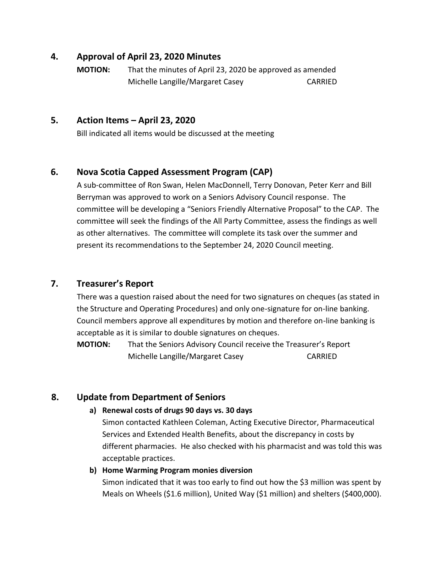### **4. Approval of April 23, 2020 Minutes**

**MOTION:** That the minutes of April 23, 2020 be approved as amended Michelle Langille/Margaret Casey CARRIED

### **5. Action Items – April 23, 2020**

Bill indicated all items would be discussed at the meeting

# **6. Nova Scotia Capped Assessment Program (CAP)**

A sub-committee of Ron Swan, Helen MacDonnell, Terry Donovan, Peter Kerr and Bill Berryman was approved to work on a Seniors Advisory Council response. The committee will be developing a "Seniors Friendly Alternative Proposal" to the CAP. The committee will seek the findings of the All Party Committee, assess the findings as well as other alternatives. The committee will complete its task over the summer and present its recommendations to the September 24, 2020 Council meeting.

## **7. Treasurer's Report**

There was a question raised about the need for two signatures on cheques (as stated in the Structure and Operating Procedures) and only one-signature for on-line banking. Council members approve all expenditures by motion and therefore on-line banking is acceptable as it is similar to double signatures on cheques.

**MOTION:** That the Seniors Advisory Council receive the Treasurer's Report Michelle Langille/Margaret Casey CARRIED

# **8. Update from Department of Seniors**

### **a) Renewal costs of drugs 90 days vs. 30 days**

Simon contacted Kathleen Coleman, Acting Executive Director, Pharmaceutical Services and Extended Health Benefits, about the discrepancy in costs by different pharmacies. He also checked with his pharmacist and was told this was acceptable practices.

### **b) Home Warming Program monies diversion**

Simon indicated that it was too early to find out how the \$3 million was spent by Meals on Wheels (\$1.6 million), United Way (\$1 million) and shelters (\$400,000).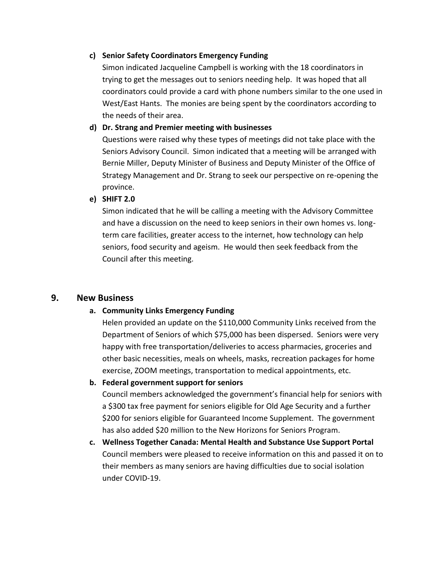#### **c) Senior Safety Coordinators Emergency Funding**

Simon indicated Jacqueline Campbell is working with the 18 coordinators in trying to get the messages out to seniors needing help. It was hoped that all coordinators could provide a card with phone numbers similar to the one used in West/East Hants. The monies are being spent by the coordinators according to the needs of their area.

#### **d) Dr. Strang and Premier meeting with businesses**

Questions were raised why these types of meetings did not take place with the Seniors Advisory Council. Simon indicated that a meeting will be arranged with Bernie Miller, Deputy Minister of Business and Deputy Minister of the Office of Strategy Management and Dr. Strang to seek our perspective on re-opening the province.

#### **e) SHIFT 2.0**

Simon indicated that he will be calling a meeting with the Advisory Committee and have a discussion on the need to keep seniors in their own homes vs. longterm care facilities, greater access to the internet, how technology can help seniors, food security and ageism. He would then seek feedback from the Council after this meeting.

#### **9. New Business**

#### **a. Community Links Emergency Funding**

Helen provided an update on the \$110,000 Community Links received from the Department of Seniors of which \$75,000 has been dispersed. Seniors were very happy with free transportation/deliveries to access pharmacies, groceries and other basic necessities, meals on wheels, masks, recreation packages for home exercise, ZOOM meetings, transportation to medical appointments, etc.

#### **b. Federal government support for seniors**

Council members acknowledged the government's financial help for seniors with a \$300 tax free payment for seniors eligible for Old Age Security and a further \$200 for seniors eligible for Guaranteed Income Supplement. The government has also added \$20 million to the New Horizons for Seniors Program.

**c. Wellness Together Canada: Mental Health and Substance Use Support Portal** Council members were pleased to receive information on this and passed it on to their members as many seniors are having difficulties due to social isolation under COVID-19.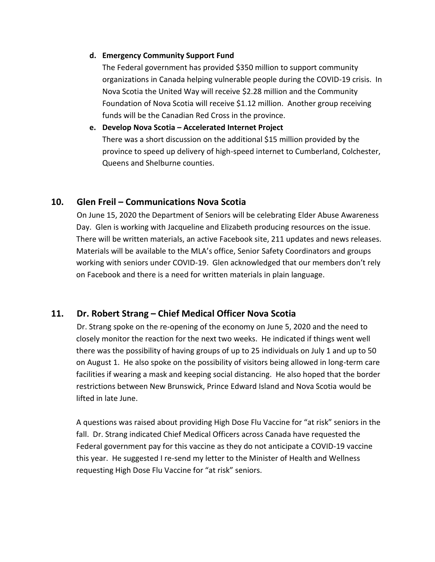#### **d. Emergency Community Support Fund**

The Federal government has provided \$350 million to support community organizations in Canada helping vulnerable people during the COVID-19 crisis. In Nova Scotia the United Way will receive \$2.28 million and the Community Foundation of Nova Scotia will receive \$1.12 million. Another group receiving funds will be the Canadian Red Cross in the province.

#### **e. Develop Nova Scotia – Accelerated Internet Project**

There was a short discussion on the additional \$15 million provided by the province to speed up delivery of high-speed internet to Cumberland, Colchester, Queens and Shelburne counties.

## **10. Glen Freil – Communications Nova Scotia**

On June 15, 2020 the Department of Seniors will be celebrating Elder Abuse Awareness Day. Glen is working with Jacqueline and Elizabeth producing resources on the issue. There will be written materials, an active Facebook site, 211 updates and news releases. Materials will be available to the MLA's office, Senior Safety Coordinators and groups working with seniors under COVID-19. Glen acknowledged that our members don't rely on Facebook and there is a need for written materials in plain language.

## **11. Dr. Robert Strang – Chief Medical Officer Nova Scotia**

Dr. Strang spoke on the re-opening of the economy on June 5, 2020 and the need to closely monitor the reaction for the next two weeks. He indicated if things went well there was the possibility of having groups of up to 25 individuals on July 1 and up to 50 on August 1. He also spoke on the possibility of visitors being allowed in long-term care facilities if wearing a mask and keeping social distancing. He also hoped that the border restrictions between New Brunswick, Prince Edward Island and Nova Scotia would be lifted in late June.

A questions was raised about providing High Dose Flu Vaccine for "at risk" seniors in the fall. Dr. Strang indicated Chief Medical Officers across Canada have requested the Federal government pay for this vaccine as they do not anticipate a COVID-19 vaccine this year. He suggested I re-send my letter to the Minister of Health and Wellness requesting High Dose Flu Vaccine for "at risk" seniors.